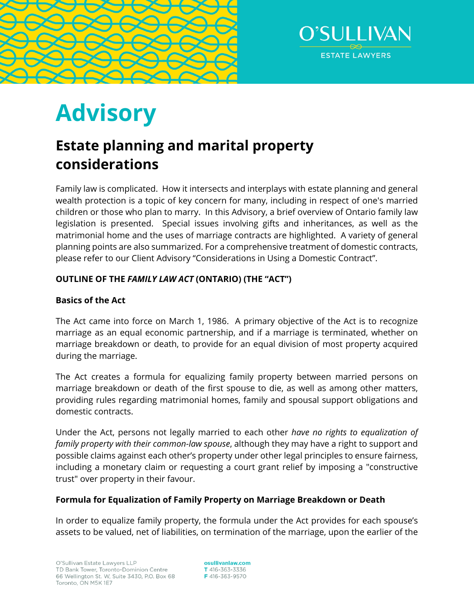



# **Advisory**

# **Estate planning and marital property considerations**

Family law is complicated. How it intersects and interplays with estate planning and general wealth protection is a topic of key concern for many, including in respect of one's married children or those who plan to marry. In this Advisory, a brief overview of Ontario family law legislation is presented. Special issues involving gifts and inheritances, as well as the matrimonial home and the uses of marriage contracts are highlighted. A variety of general planning points are also summarized. For a comprehensive treatment of domestic contracts, please refer to our Client Advisory "Considerations in Using a Domestic Contract".

# **OUTLINE OF THE** *FAMILY LAW ACT* **(ONTARIO) (THE "ACT")**

# **Basics of the Act**

The Act came into force on March 1, 1986. A primary objective of the Act is to recognize marriage as an equal economic partnership, and if a marriage is terminated, whether on marriage breakdown or death, to provide for an equal division of most property acquired during the marriage.

The Act creates a formula for equalizing family property between married persons on marriage breakdown or death of the first spouse to die, as well as among other matters, providing rules regarding matrimonial homes, family and spousal support obligations and domestic contracts.

Under the Act, persons not legally married to each other *have no rights to equalization of family property with their common-law spouse*, although they may have a right to support and possible claims against each other's property under other legal principles to ensure fairness, including a monetary claim or requesting a court grant relief by imposing a "constructive trust" over property in their favour.

## **Formula for Equalization of Family Property on Marriage Breakdown or Death**

In order to equalize family property, the formula under the Act provides for each spouse's assets to be valued, net of liabilities, on termination of the marriage, upon the earlier of the

osullivanlaw.com T 416-363-3336 F416-363-9570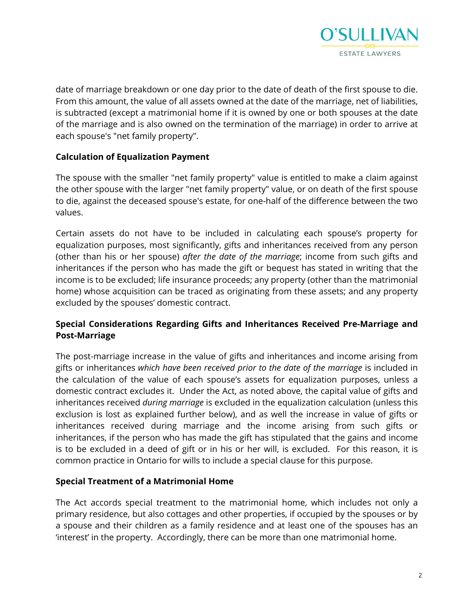

date of marriage breakdown or one day prior to the date of death of the first spouse to die. From this amount, the value of all assets owned at the date of the marriage, net of liabilities, is subtracted (except a matrimonial home if it is owned by one or both spouses at the date of the marriage and is also owned on the termination of the marriage) in order to arrive at each spouse's "net family property".

#### **Calculation of Equalization Payment**

The spouse with the smaller "net family property" value is entitled to make a claim against the other spouse with the larger "net family property" value, or on death of the first spouse to die, against the deceased spouse's estate, for one-half of the difference between the two values.

Certain assets do not have to be included in calculating each spouse's property for equalization purposes, most significantly, gifts and inheritances received from any person (other than his or her spouse) *after the date of the marriage*; income from such gifts and inheritances if the person who has made the gift or bequest has stated in writing that the income is to be excluded; life insurance proceeds; any property (other than the matrimonial home) whose acquisition can be traced as originating from these assets; and any property excluded by the spouses' domestic contract.

## **Special Considerations Regarding Gifts and Inheritances Received Pre-Marriage and Post-Marriage**

The post-marriage increase in the value of gifts and inheritances and income arising from gifts or inheritances *which have been received prior to the date of the marriage* is included in the calculation of the value of each spouse's assets for equalization purposes, unless a domestic contract excludes it. Under the Act, as noted above, the capital value of gifts and inheritances received *during marriage* is excluded in the equalization calculation (unless this exclusion is lost as explained further below), and as well the increase in value of gifts or inheritances received during marriage and the income arising from such gifts or inheritances, if the person who has made the gift has stipulated that the gains and income is to be excluded in a deed of gift or in his or her will, is excluded. For this reason, it is common practice in Ontario for wills to include a special clause for this purpose.

#### **Special Treatment of a Matrimonial Home**

The Act accords special treatment to the matrimonial home, which includes not only a primary residence, but also cottages and other properties, if occupied by the spouses or by a spouse and their children as a family residence and at least one of the spouses has an 'interest' in the property. Accordingly, there can be more than one matrimonial home.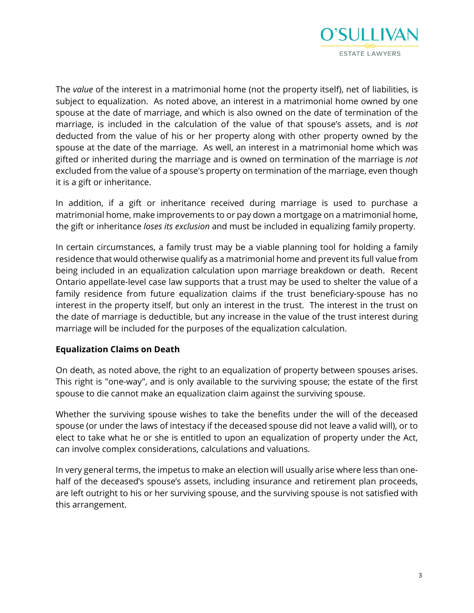

The *value* of the interest in a matrimonial home (not the property itself), net of liabilities, is subject to equalization. As noted above, an interest in a matrimonial home owned by one spouse at the date of marriage, and which is also owned on the date of termination of the marriage, is included in the calculation of the value of that spouse's assets, and is *not* deducted from the value of his or her property along with other property owned by the spouse at the date of the marriage. As well, an interest in a matrimonial home which was gifted or inherited during the marriage and is owned on termination of the marriage is *not* excluded from the value of a spouse's property on termination of the marriage, even though it is a gift or inheritance.

In addition, if a gift or inheritance received during marriage is used to purchase a matrimonial home, make improvements to or pay down a mortgage on a matrimonial home, the gift or inheritance *loses its exclusion* and must be included in equalizing family property.

In certain circumstances, a family trust may be a viable planning tool for holding a family residence that would otherwise qualify as a matrimonial home and prevent its full value from being included in an equalization calculation upon marriage breakdown or death. Recent Ontario appellate-level case law supports that a trust may be used to shelter the value of a family residence from future equalization claims if the trust beneficiary-spouse has no interest in the property itself, but only an interest in the trust. The interest in the trust on the date of marriage is deductible, but any increase in the value of the trust interest during marriage will be included for the purposes of the equalization calculation.

#### **Equalization Claims on Death**

On death, as noted above, the right to an equalization of property between spouses arises. This right is "one-way", and is only available to the surviving spouse; the estate of the first spouse to die cannot make an equalization claim against the surviving spouse.

Whether the surviving spouse wishes to take the benefits under the will of the deceased spouse (or under the laws of intestacy if the deceased spouse did not leave a valid will), or to elect to take what he or she is entitled to upon an equalization of property under the Act, can involve complex considerations, calculations and valuations.

In very general terms, the impetus to make an election will usually arise where less than onehalf of the deceased's spouse's assets, including insurance and retirement plan proceeds, are left outright to his or her surviving spouse, and the surviving spouse is not satisfied with this arrangement.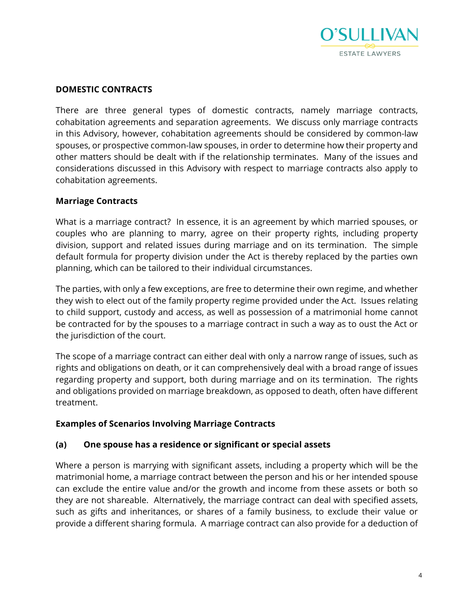

#### **DOMESTIC CONTRACTS**

There are three general types of domestic contracts, namely marriage contracts, cohabitation agreements and separation agreements. We discuss only marriage contracts in this Advisory, however, cohabitation agreements should be considered by common-law spouses, or prospective common-law spouses, in order to determine how their property and other matters should be dealt with if the relationship terminates. Many of the issues and considerations discussed in this Advisory with respect to marriage contracts also apply to cohabitation agreements.

#### **Marriage Contracts**

What is a marriage contract? In essence, it is an agreement by which married spouses, or couples who are planning to marry, agree on their property rights, including property division, support and related issues during marriage and on its termination. The simple default formula for property division under the Act is thereby replaced by the parties own planning, which can be tailored to their individual circumstances.

The parties, with only a few exceptions, are free to determine their own regime, and whether they wish to elect out of the family property regime provided under the Act. Issues relating to child support, custody and access, as well as possession of a matrimonial home cannot be contracted for by the spouses to a marriage contract in such a way as to oust the Act or the jurisdiction of the court.

The scope of a marriage contract can either deal with only a narrow range of issues, such as rights and obligations on death, or it can comprehensively deal with a broad range of issues regarding property and support, both during marriage and on its termination. The rights and obligations provided on marriage breakdown, as opposed to death, often have different treatment.

#### **Examples of Scenarios Involving Marriage Contracts**

#### **(a) One spouse has a residence or significant or special assets**

Where a person is marrying with significant assets, including a property which will be the matrimonial home, a marriage contract between the person and his or her intended spouse can exclude the entire value and/or the growth and income from these assets or both so they are not shareable. Alternatively, the marriage contract can deal with specified assets, such as gifts and inheritances, or shares of a family business, to exclude their value or provide a different sharing formula. A marriage contract can also provide for a deduction of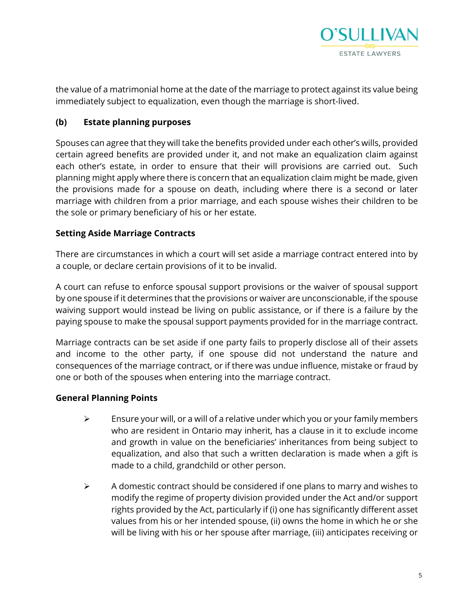

the value of a matrimonial home at the date of the marriage to protect against its value being immediately subject to equalization, even though the marriage is short-lived.

#### **(b) Estate planning purposes**

Spouses can agree that they will take the benefits provided under each other's wills, provided certain agreed benefits are provided under it, and not make an equalization claim against each other's estate, in order to ensure that their will provisions are carried out. Such planning might apply where there is concern that an equalization claim might be made, given the provisions made for a spouse on death, including where there is a second or later marriage with children from a prior marriage, and each spouse wishes their children to be the sole or primary beneficiary of his or her estate.

#### **Setting Aside Marriage Contracts**

There are circumstances in which a court will set aside a marriage contract entered into by a couple, or declare certain provisions of it to be invalid.

A court can refuse to enforce spousal support provisions or the waiver of spousal support by one spouse if it determines that the provisions or waiver are unconscionable, if the spouse waiving support would instead be living on public assistance, or if there is a failure by the paying spouse to make the spousal support payments provided for in the marriage contract.

Marriage contracts can be set aside if one party fails to properly disclose all of their assets and income to the other party, if one spouse did not understand the nature and consequences of the marriage contract, or if there was undue influence, mistake or fraud by one or both of the spouses when entering into the marriage contract.

#### **General Planning Points**

- $\triangleright$  Ensure your will, or a will of a relative under which you or your family members who are resident in Ontario may inherit, has a clause in it to exclude income and growth in value on the beneficiaries' inheritances from being subject to equalization, and also that such a written declaration is made when a gift is made to a child, grandchild or other person.
- $\triangleright$  A domestic contract should be considered if one plans to marry and wishes to modify the regime of property division provided under the Act and/or support rights provided by the Act, particularly if (i) one has significantly different asset values from his or her intended spouse, (ii) owns the home in which he or she will be living with his or her spouse after marriage, (iii) anticipates receiving or